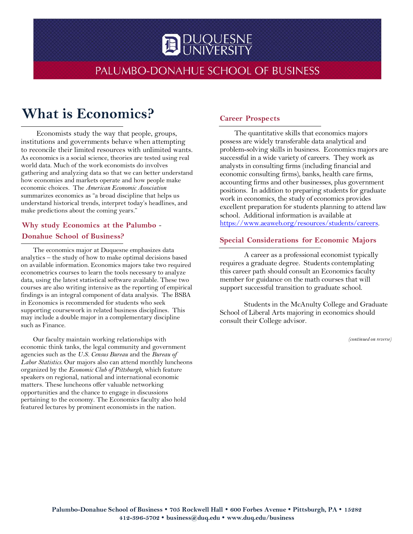# **DUQUESNE**

### PALUMBO-DONAHUE SCHOOL OF BUSINESS

## **What is Economics?**

Economists study the way that people, groups, institutions and governments behave when attempting to reconcile their limited resources with unlimited wants. As economics is a social science, theories are tested using real world data. Much of the work economists do involves gathering and analyzing data so that we can better understand how economies and markets operate and how people make economic choices. The *American Economic Association* summarizes economics as "a broad discipline that helps us understand historical trends, interpret today's headlines, and make predictions about the coming years."

#### **Why study Economics at the Palumbo** - **Donahue School of Business?**

The economics major at Duquesne emphasizes data analytics – the study of how to make optimal decisions based on available information. Economics majors take two required econometrics courses to learn the tools necessary to analyze data, using the latest statistical software available. These two courses are also writing intensive as the reporting of empirical findings is an integral component of data analysis. The BSBA in Economics is recommended for students who seek supporting coursework in related business disciplines. This may include a double major in a complementary discipline such as Finance.

Our faculty maintain working relationships with economic think tanks, the legal community and government agencies such as the *U.S. Census Bureau* and the *Bureau of Labor Statistics*. Our majors also can attend monthly luncheons organized by the *Economic Club of Pittsburgh*, which feature speakers on regional, national and international economic matters. These luncheons offer valuable networking opportunities and the chance to engage in discussions pertaining to the economy. The Economics faculty also hold featured lectures by prominent economists in the nation.

#### **Career Prospects**

The quantitative skills that economics majors possess are widely transferable data analytical and problem-solving skills in business. Economics majors are successful in a wide variety of careers. They work as analysts in consulting firms (including financial and economic consulting firms), banks, health care firms, accounting firms and other businesses, plus government positions. In addition to preparing students for graduate work in economics, the study of economics provides excellent preparation for students planning to attend law school. Additional information is available at [https://www.aeaweb.org/resources/students/careers.](https://www.aeaweb.org/resources/students/careers) 

#### **Special Considerations for Economic Majors**

A career as a professional economist typically requires a graduate degree. Students contemplating this career path should consult an Economics faculty member for guidance on the math courses that will support successful transition to graduate school.

Students in the McAnulty College and Graduate School of Liberal Arts majoring in economics should consult their College advisor.

*(continued on reverse)*